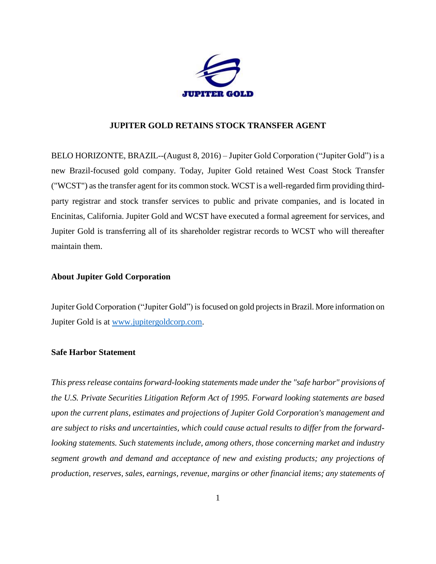

## **JUPITER GOLD RETAINS STOCK TRANSFER AGENT**

BELO HORIZONTE, BRAZIL--(August 8, 2016) – Jupiter Gold Corporation ("Jupiter Gold") is a new Brazil-focused gold company. Today, Jupiter Gold retained West Coast Stock Transfer ("WCST") as the transfer agent for its common stock. WCST is a well-regarded firm providing thirdparty registrar and stock transfer services to public and private companies, and is located in Encinitas, California. Jupiter Gold and WCST have executed a formal agreement for services, and Jupiter Gold is transferring all of its shareholder registrar records to WCST who will thereafter maintain them.

## **About Jupiter Gold Corporation**

Jupiter Gold Corporation ("Jupiter Gold") is focused on gold projectsin Brazil. More information on Jupiter Gold is at [www.jupitergoldcorp.com.](../../../../../../../../../../../../../../../Downloads/www.jupitergoldcorp.com)

## **Safe Harbor Statement**

*This press release contains forward-looking statements made under the "safe harbor" provisions of the U.S. Private Securities Litigation Reform Act of 1995. Forward looking statements are based upon the current plans, estimates and projections of Jupiter Gold Corporation's management and are subject to risks and uncertainties, which could cause actual results to differ from the forwardlooking statements. Such statements include, among others, those concerning market and industry segment growth and demand and acceptance of new and existing products; any projections of production, reserves, sales, earnings, revenue, margins or other financial items; any statements of*